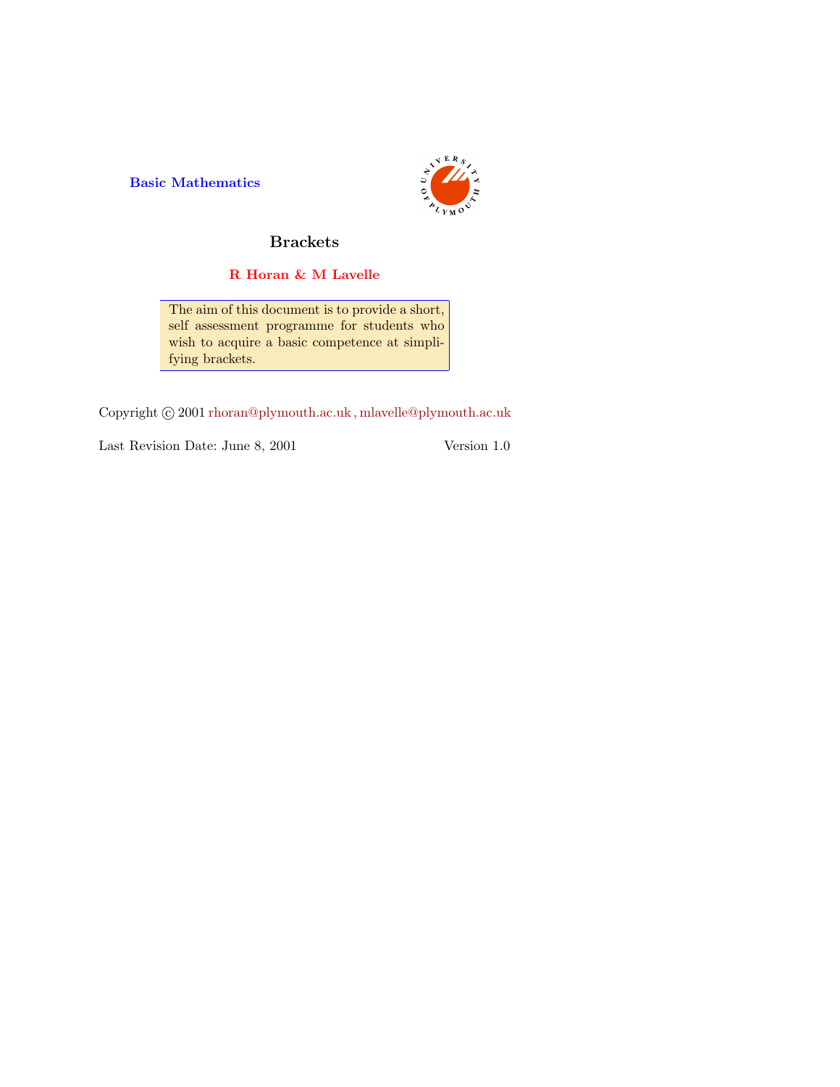Basic Mathematics



## Brackets

### R Horan & M Lavelle

The aim of this document is to provide a short, self assessment programme for students who wish to acquire a basic competence at simplifying brackets.

Copyright  $\odot$  2001 rhoran@plymouth.ac.uk, mlavelle@plymouth.ac.uk

Last Revision Date: June 8, 2001 Version 1.0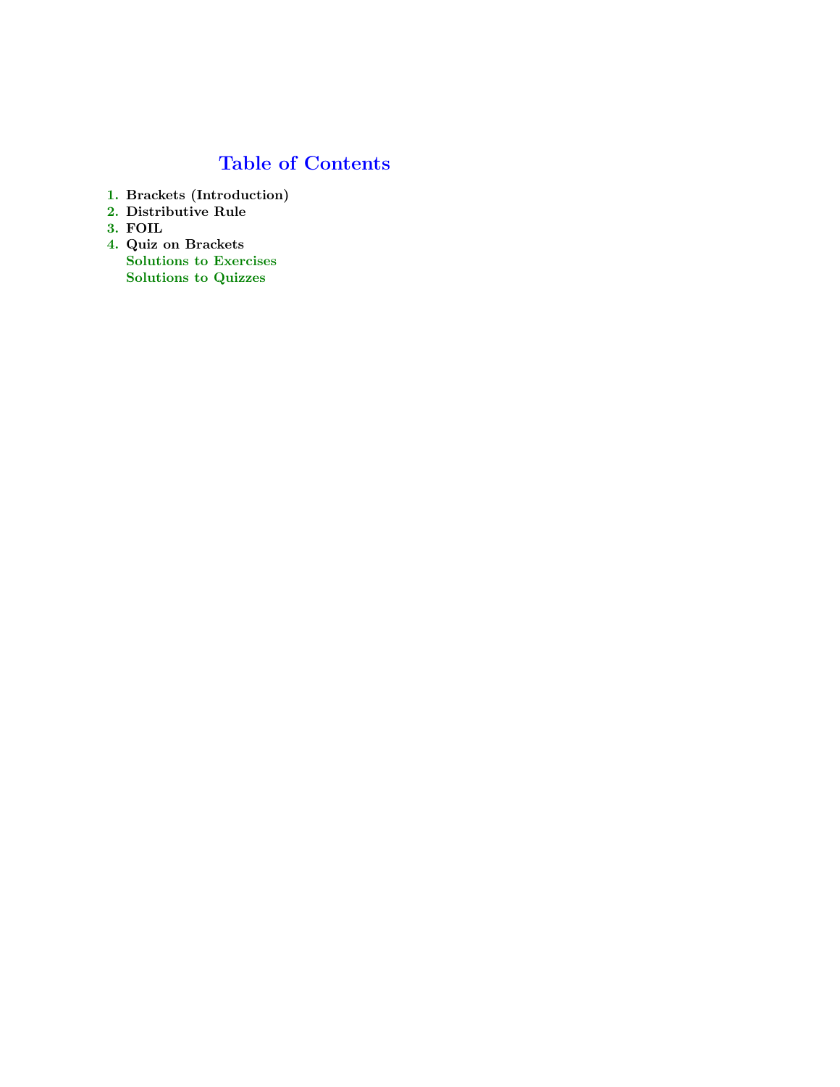# Table of Contents

- 1. Brackets (Introduction)
- 2. Distributive Rule
- 3. FOIL
- 4. Quiz on Brackets Solutions to Exercises Solutions to Quizzes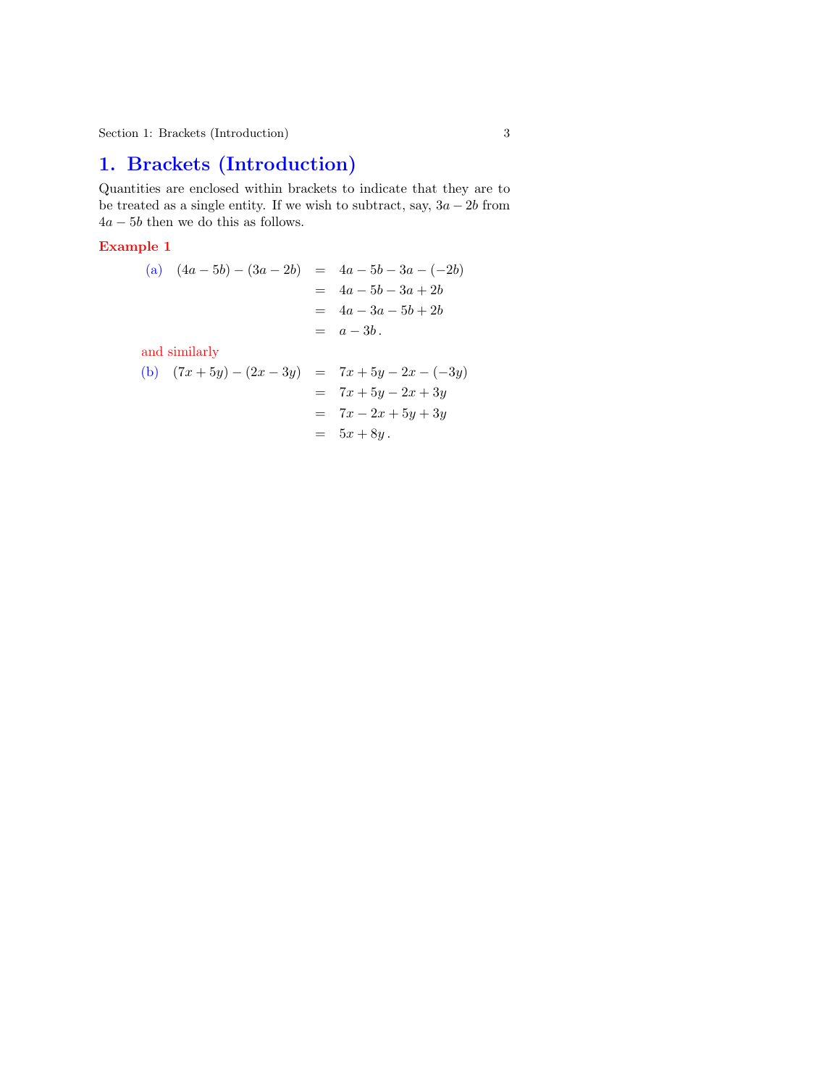## 1. Brackets (Introduction)

Quantities are enclosed within brackets to indicate that they are to be treated as a single entity. If we wish to subtract, say,  $3a - 2b$  from  $4a - 5b$  then we do this as follows.

#### Example 1

(a) (4a − 5b) − (3a − 2b) = 4a − 5b − 3a − (−2b) = 4a − 5b − 3a + 2b = 4a − 3a − 5b + 2b = a − 3b .

and similarly

(b) (7x + 5y) − (2x − 3y) = 7x + 5y − 2x − (−3y) = 7x + 5y − 2x + 3y = 7x − 2x + 5y + 3y = 5x + 8y .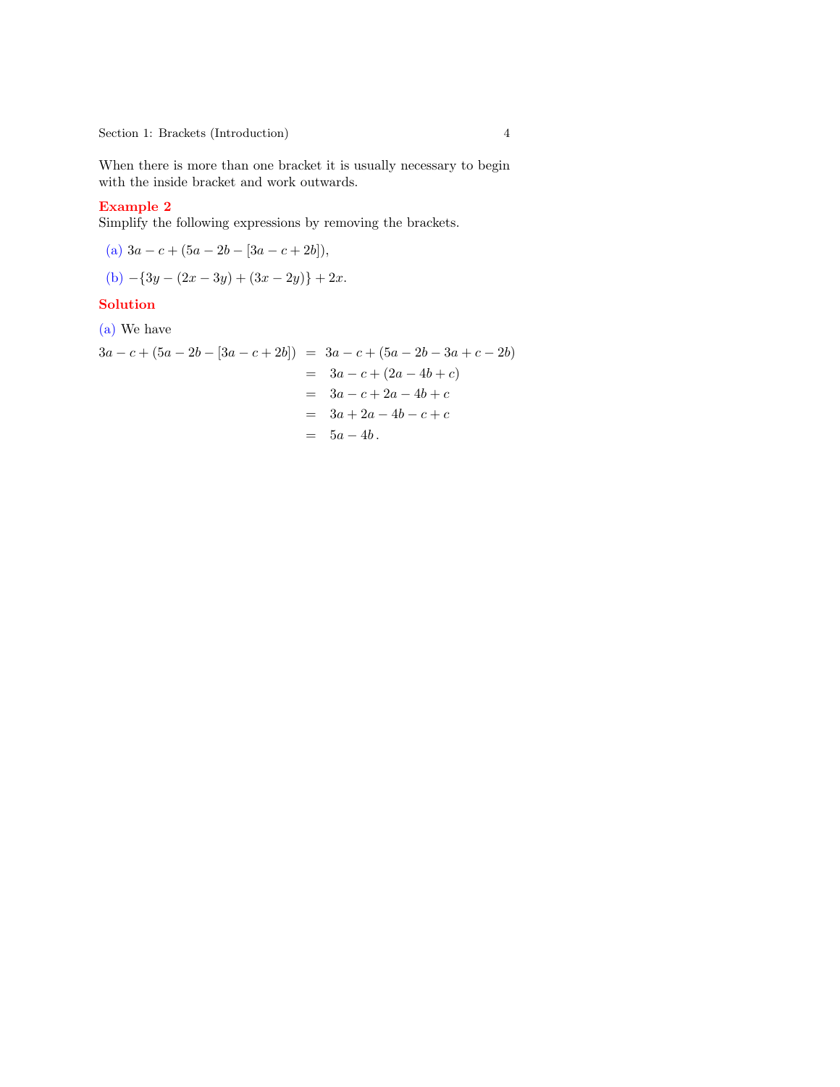Section 1: Brackets (Introduction) 4

When there is more than one bracket it is usually necessary to begin with the inside bracket and work outwards.

#### Example 2

Simplify the following expressions by removing the brackets.

(a) 
$$
3a - c + (5a - 2b - [3a - c + 2b]),
$$
  
(b)  $-\{3y - (2x - 3y) + (3x - 2y)\} + 2x.$ 

### **Solution**

(a) We have

$$
3a - c + (5a - 2b - [3a - c + 2b]) = 3a - c + (5a - 2b - 3a + c - 2b)
$$
  
= 3a - c + (2a - 4b + c)  
= 3a - c + 2a - 4b + c  
= 3a + 2a - 4b - c + c  
= 5a - 4b.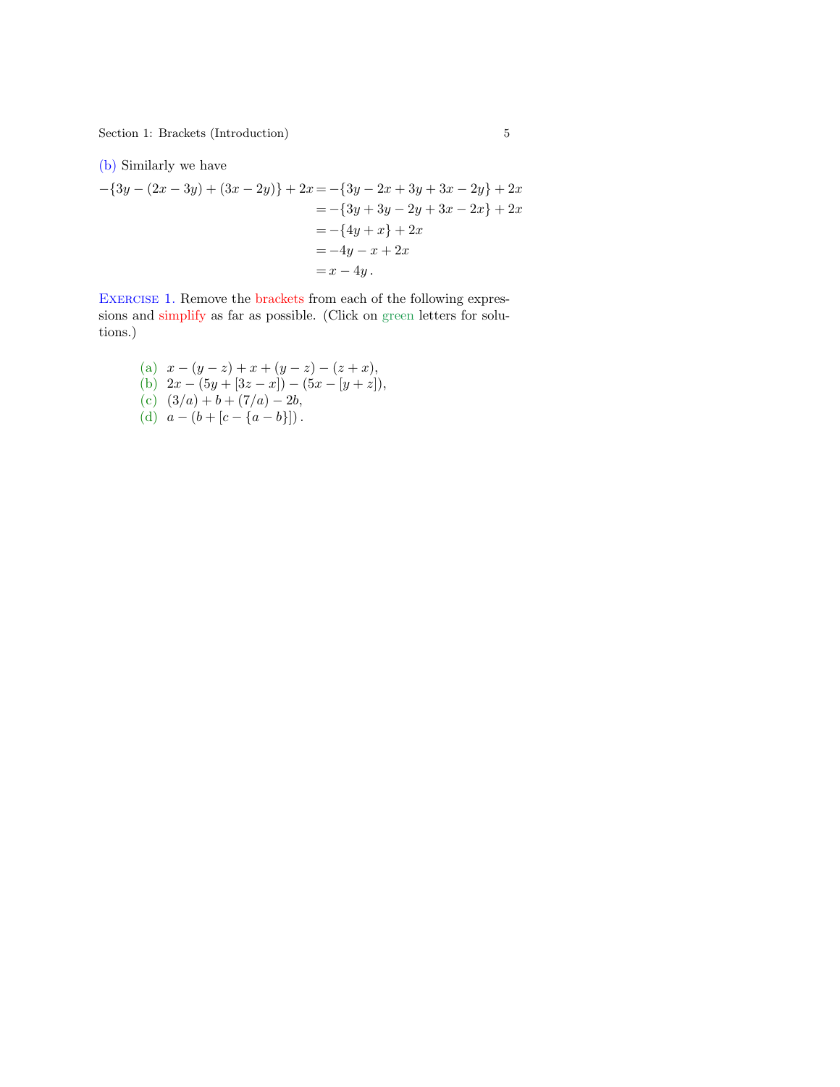<span id="page-4-0"></span>Section 1: Brackets (Introduction) 5

(b) Similarly we have

$$
-\{3y - (2x - 3y) + (3x - 2y)\} + 2x = -\{3y - 2x + 3y + 3x - 2y\} + 2x
$$
  
= -\{3y + 3y - 2y + 3x - 2x\} + 2x  
= -\{4y + x\} + 2x  
= -4y - x + 2x  
= x - 4y.

Exercise 1. Remove the brackets from each of the following expressions and simplify as far as possible. (Click on green letters for solutions.)

(a)  $x - (y - z) + x + (y - z) - (z + x),$ (b)  $2x - (5y + [3z - x]) - (5x - [y + z]),$ (c)  $(3/a) + b + (7/a) - 2b$ , (d)  $a - (b + [c - \{a - b\}])$ .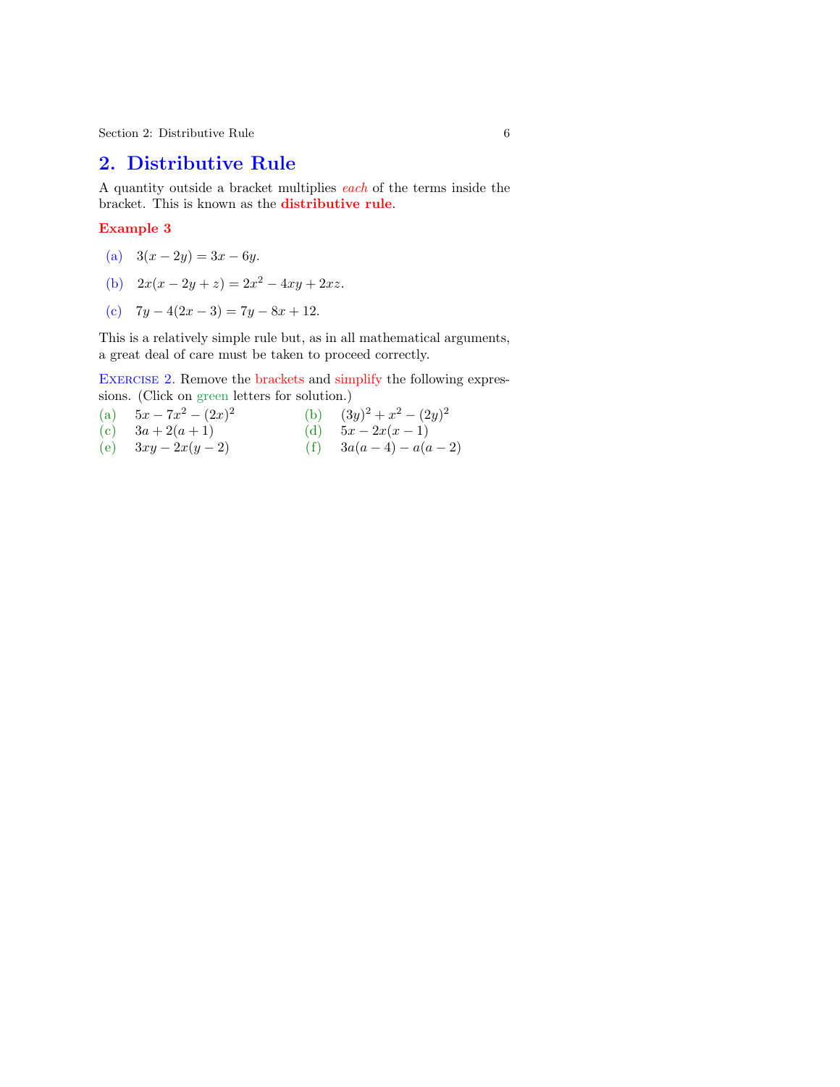<span id="page-5-0"></span> $\begin{tabular}{ll} Section 2: Distributive\ Rule \end{tabular}$ 

### 2. Distributive Rule

A quantity outside a bracket multiplies each of the terms inside the bracket. This is known as the distributive rule.

#### Example 3

- (a)  $3(x 2y) = 3x 6y$ .
- (b)  $2x(x-2y+z) = 2x^2 4xy + 2xz$  $2x(x-2y+z) = 2x^2 4xy + 2xz$  $2x(x-2y+z) = 2x^2 4xy + 2xz$ .
- (c)  $7y 4(2x 3) = 7y 8x + 12.$  $7y 4(2x 3) = 7y 8x + 12.$  $7y 4(2x 3) = 7y 8x + 12.$

This is a relatively si[mple](#page-20-0) rule but, as in all mathematical arguments, a great deal of care must be taken to proceed correctly.

Exercise 2. Remove the brackets and simplify the following expressions. (Click on green letters for solution.)

(a)  $5x - 7x^2 - (2x)^2$ (b)  $(3y)^2 + x^2 - (2y)^2$ (c)  $3a + 2(a + 1)$  (d)  $5x - 2x(x - 1)$ (e)  $3xy - 2x(y - 2)$  (f)  $3a(a - 4) - a(a - 2)$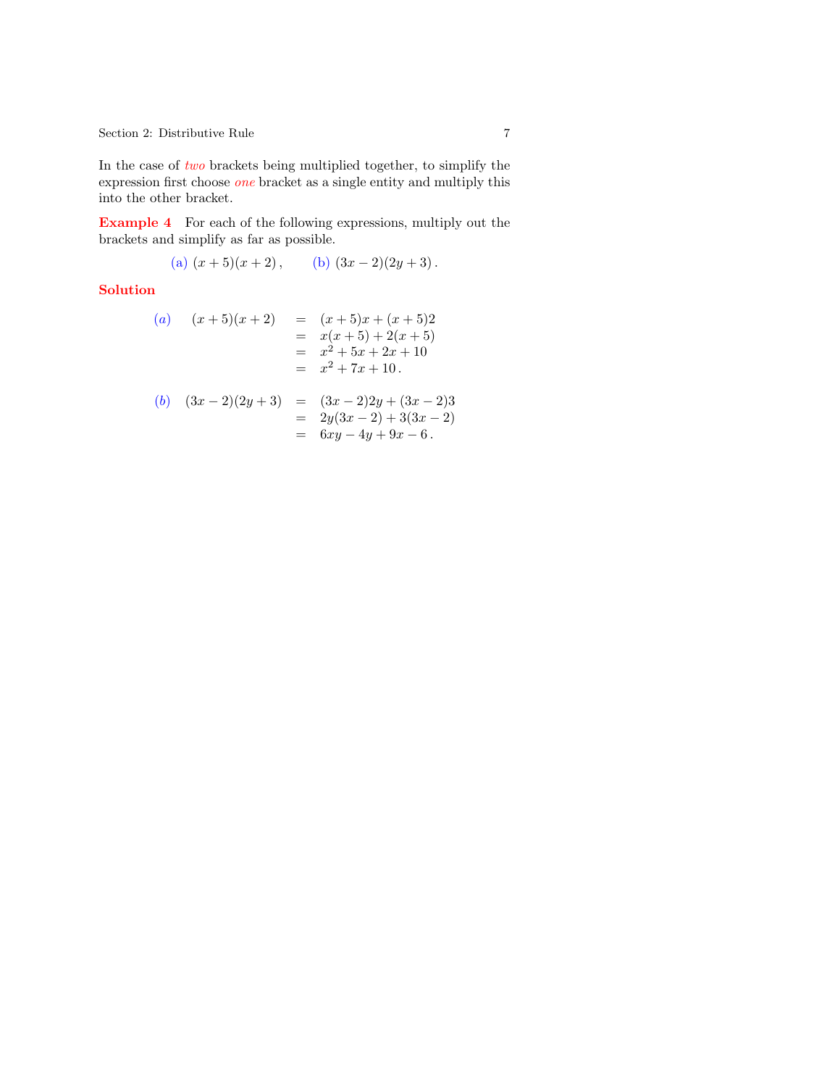Section 2: Distributive Rule 7

In the case of *two* brackets being multiplied together, to simplify the expression first choose  $\omega n_e$  bracket as a single entity and multiply this into the other bracket.

Example 4 For each of the following expressions, multiply out the brackets and simplify as far as possible.

(a) 
$$
(x+5)(x+2)
$$
, (b)  $(3x-2)(2y+3)$ .

#### Solution

(a) 
$$
(x+5)(x+2) = (x+5)x + (x+5)2
$$
  
\t $= x(x+5) + 2(x+5)$   
\t $= x^2 + 5x + 2x + 10$   
\t $= x^2 + 7x + 10$ .

(b) 
$$
(3x-2)(2y+3) = (3x-2)2y + (3x-2)3
$$
  
=  $2y(3x-2) + 3(3x-2)$   
=  $6xy - 4y + 9x - 6$ .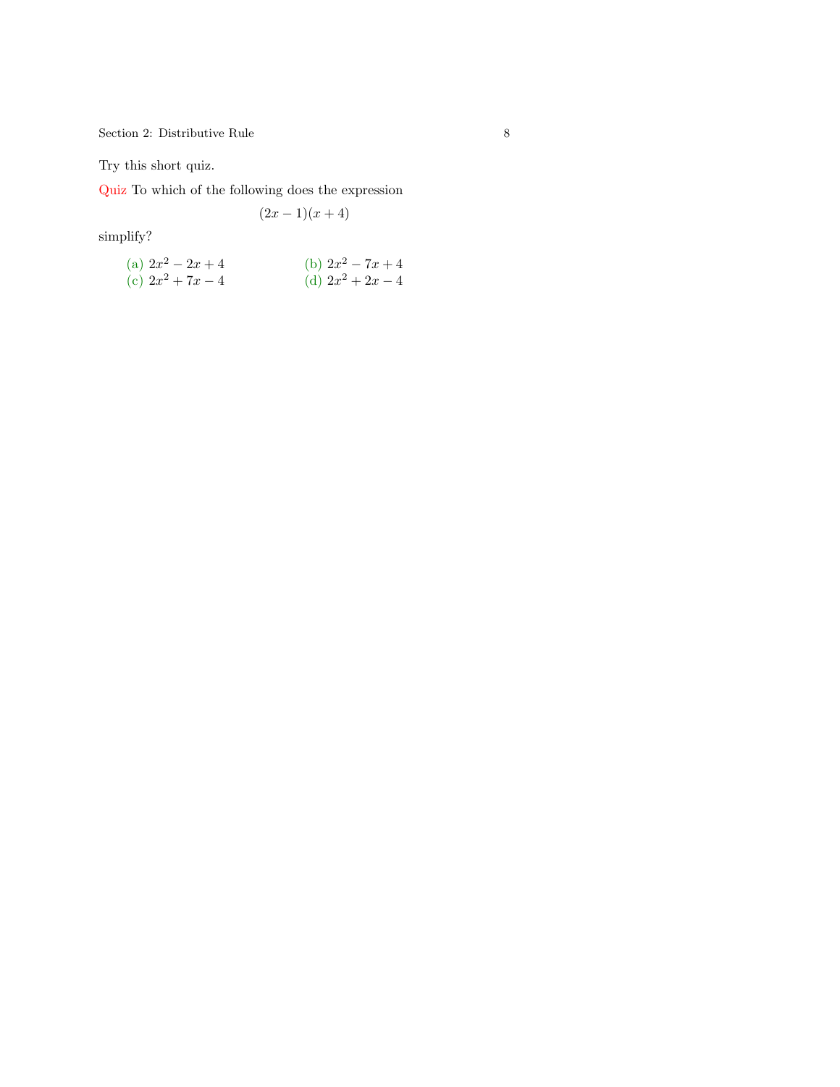$8$  Section 2: Distributive Rule  $8$ 

Try this short quiz.

Quiz To which of the following does the expression

$$
(2x-1)(x+4)
$$

simplify?

(a) 
$$
2x^2 - 2x + 4
$$
  
\n(b)  $2x^2 - 7x + 4$   
\n(c)  $2x^2 + 7x - 4$   
\n(d)  $2x^2 + 2x - 4$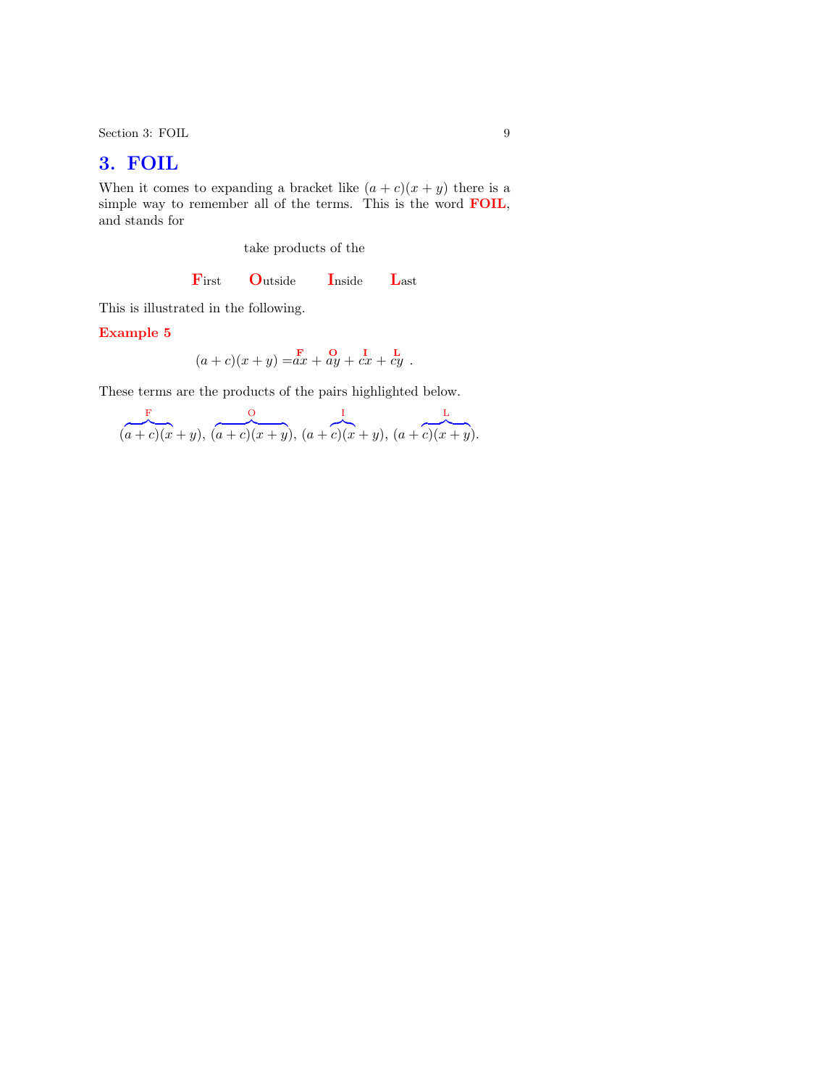Section 3: FOIL 9

## 3. FOIL

When it comes to expanding a bracket like  $(a + c)(x + y)$  there is a simple way to remember all of the terms. This is the word FOIL, and stands for

take products of the

First Outside Inside Last

This is illustrated in the following.

Example 5

$$
(a+c)(x+y) = ax + ay + cx + cy.
$$

These terms are the products of the pairs highlighted below.

$$
(a + c)(x + y), (a + c)(x + y), (a + c)(x + y), (a + c)(x + y).
$$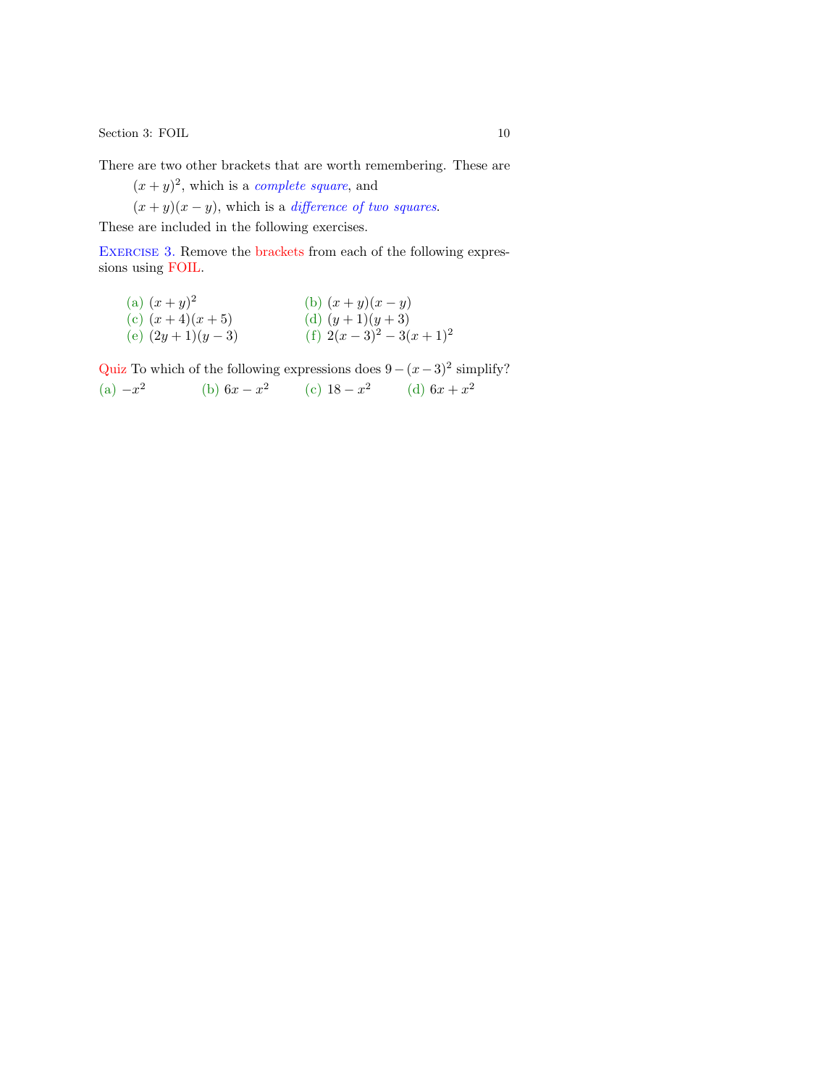<span id="page-9-0"></span> $\begin{minipage}{.4\linewidth} \textbf{Section 3: FOIL} \end{minipage}$ 

There are two other brackets that are worth remembering. These are

 $(x+y)^2$ , which [is a](#page-22-0) *complete square*, and

 $(x + y)(x - y)$ , [whic](#page-24-0)h is a *difference of two squares*.

These are included in the following exercises.

EXERCISE 3. Remove the brackets from each of the following expressions using FOIL.

(a)  $(x+y)^2$  (b)  $(x+y)(x-y)$ (c)  $(x+4)(x+5)$  (d)  $(y+1)(y+3)$ (e)  $(2y+1)(y-3)$  (f)  $2(x-3)^2-3(x+1)^2$ 

Quiz To which of the following expressions does  $9 - (x-3)^2$  simplify? (a)  $-x^2$  (b)  $6x - x^2$  (c)  $18 - x^2$  (d)  $6x + x^2$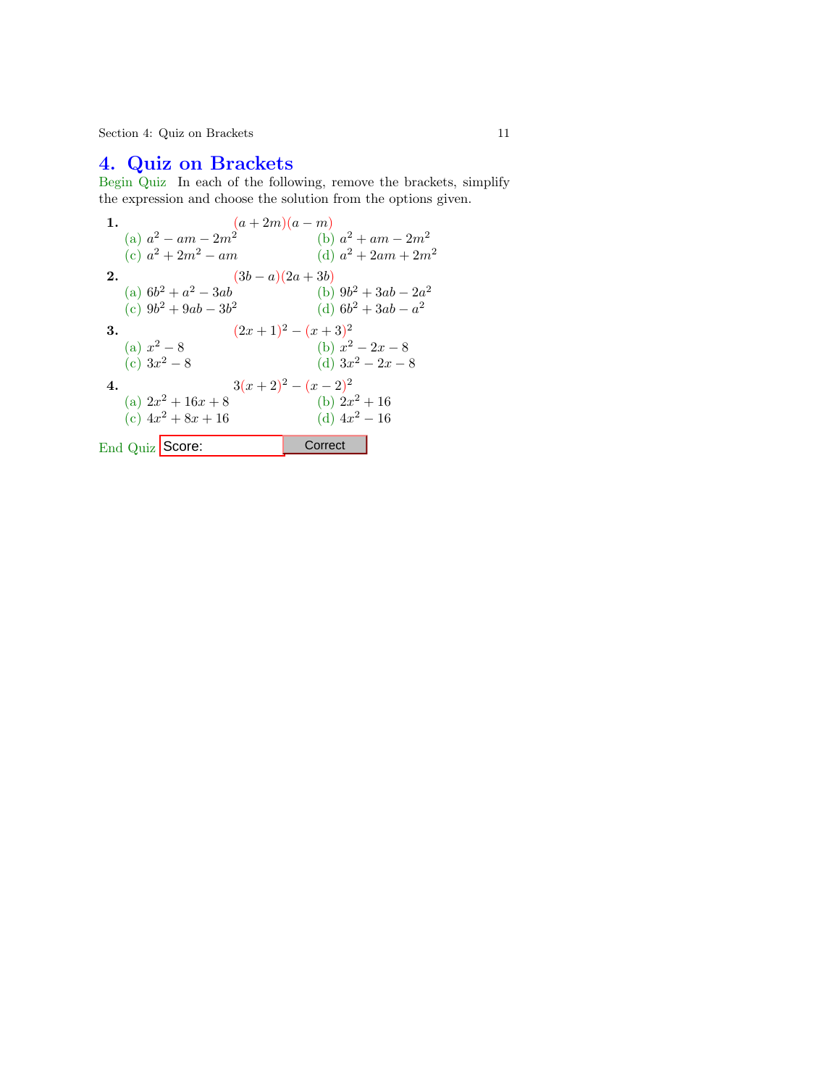Section 4: Quiz on Brackets 11

# 4. Quiz on Brackets

Begin Quiz In each of the following, remove the brackets, simplify the expression and choose the solution from the options given.

1. 
$$
(a + 2m)(a - m)
$$
  
\n(a)  $a^2 - am - 2m^2$   
\n(b)  $a^2 + am - 2m^2$   
\n(c)  $a^2 + 2m^2 - am$   
\n(d)  $a^2 + 2am + 2m^2$   
\n2.  $(3b - a)(2a + 3b)$   
\n(a)  $6b^2 + a^2 - 3ab$   
\n(b)  $9b^2 + 3ab - 2a^2$   
\n(c)  $9b^2 + 9ab - 3b^2$   
\n(d)  $6b^2 + 3ab - a^2$   
\n3.  $(2x + 1)^2 - (x + 3)^2$   
\n(b)  $x^2 - 2x - 8$   
\n(c)  $3x^2 - 8$   
\n(d)  $3x^2 - 2x - 8$   
\n4.  $3(x + 2)^2 - (x - 2)^2$   
\n(a)  $2x^2 + 16x + 8$   
\n(b)  $2x^2 + 16$   
\n(c)  $4x^2 + 8x + 16$   
\n(d)  $4x^2 - 16$   
\nEnd Quiz **Score:** Correct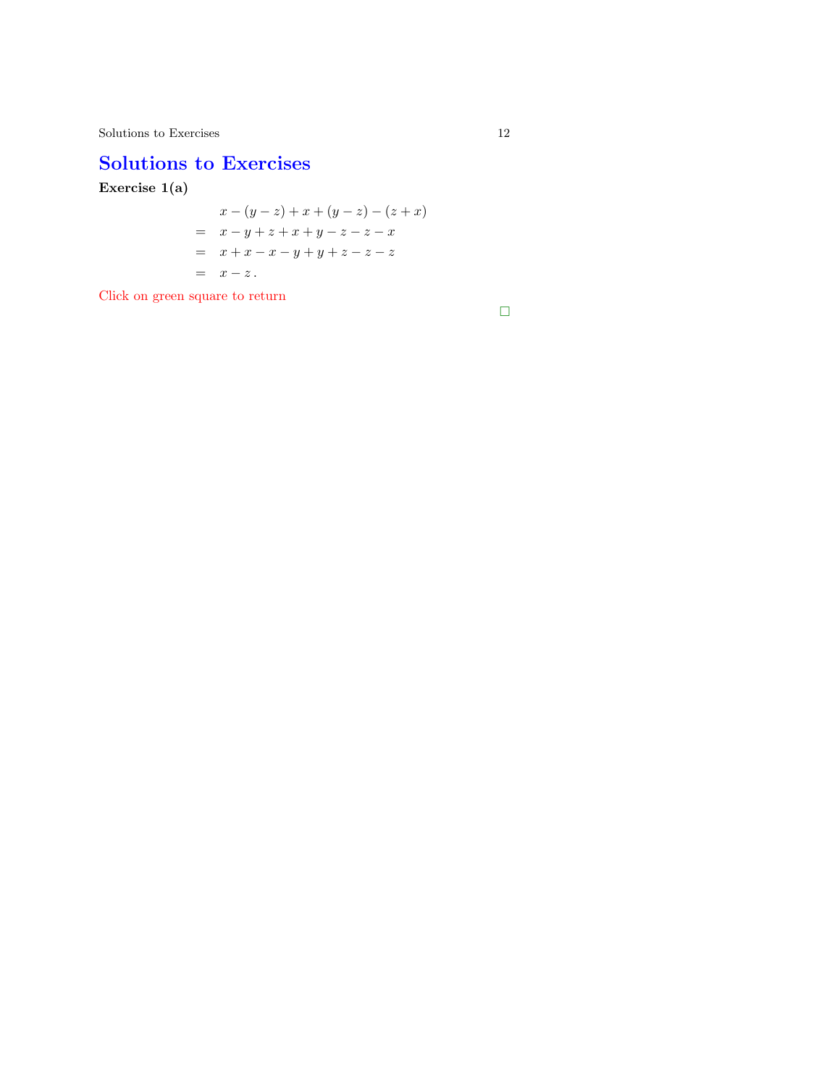## Solutions to Exercises

Exercise 1(a)

$$
x - (y - z) + x + (y - z) - (z + x)
$$
  
=  $x - y + z + x + y - z - z - x$   
=  $x + x - x - y + y + z - z - z$   
=  $x - z$ .

Click on green square to return

 $\Box$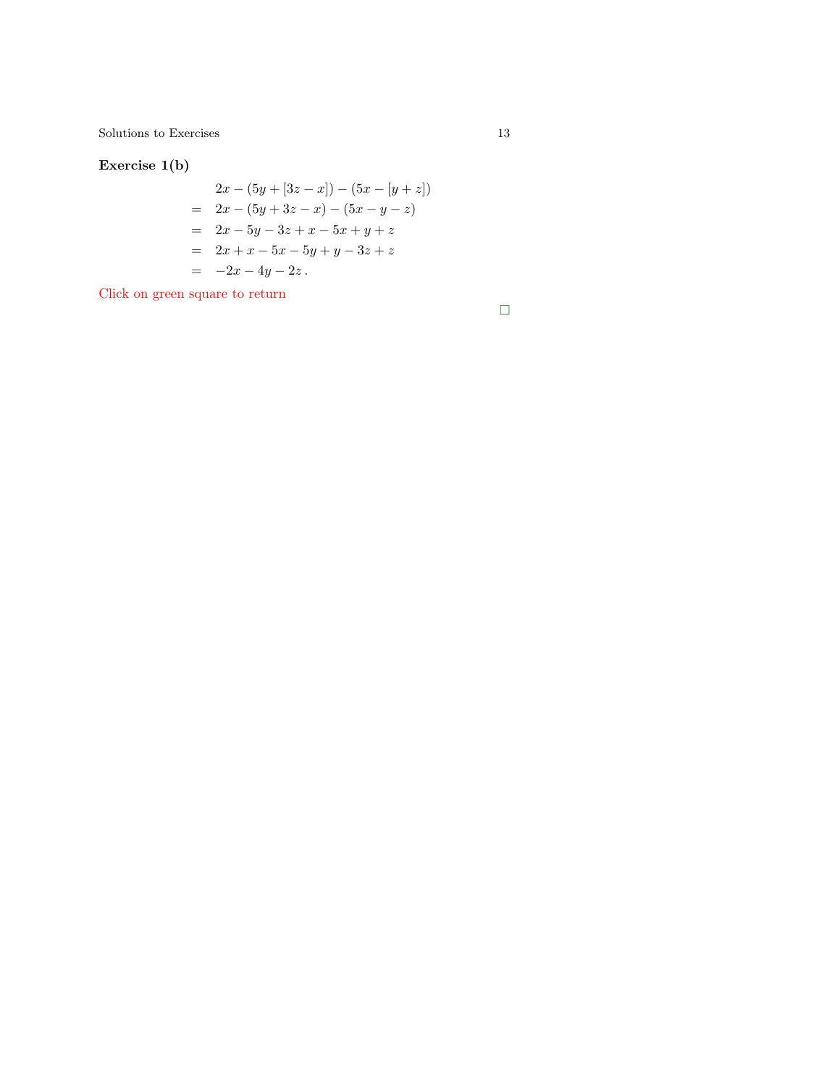$\begin{tabular}{c} Solutions to Exercises \\ \end{tabular} \begin{tabular}{c} \textbf{13} \\ \textbf{24} \\ \textbf{35} \\ \textbf{46} \\ \textbf{57} \\ \textbf{68} \\ \textbf{78} \\ \textbf{89} \\ \textbf{100} \\ \textbf{113} \\ \textbf{120} \\ \textbf{131} \\ \textbf{141} \\ \textbf{151} \\ \textbf{161} \\ \textbf{182} \\ \textbf{193} \\ \textbf{199} \\ \textbf{190} \\ \textbf{100} \\ \textbf{101} \\ \textbf{113} \\ \textbf{$ 

Exercise 1(b)

$$
2x - (5y + (3z - x)) - (5x - (y + z))
$$
  
= 2x - (5y + 3z - x) - (5x - y - z)  
= 2x - 5y - 3z + x - 5x + y + z  
= 2x + x - 5x - 5y + y - 3z + z  
= -2x - 4y - 2z.

Click on green square to return

 $\Box$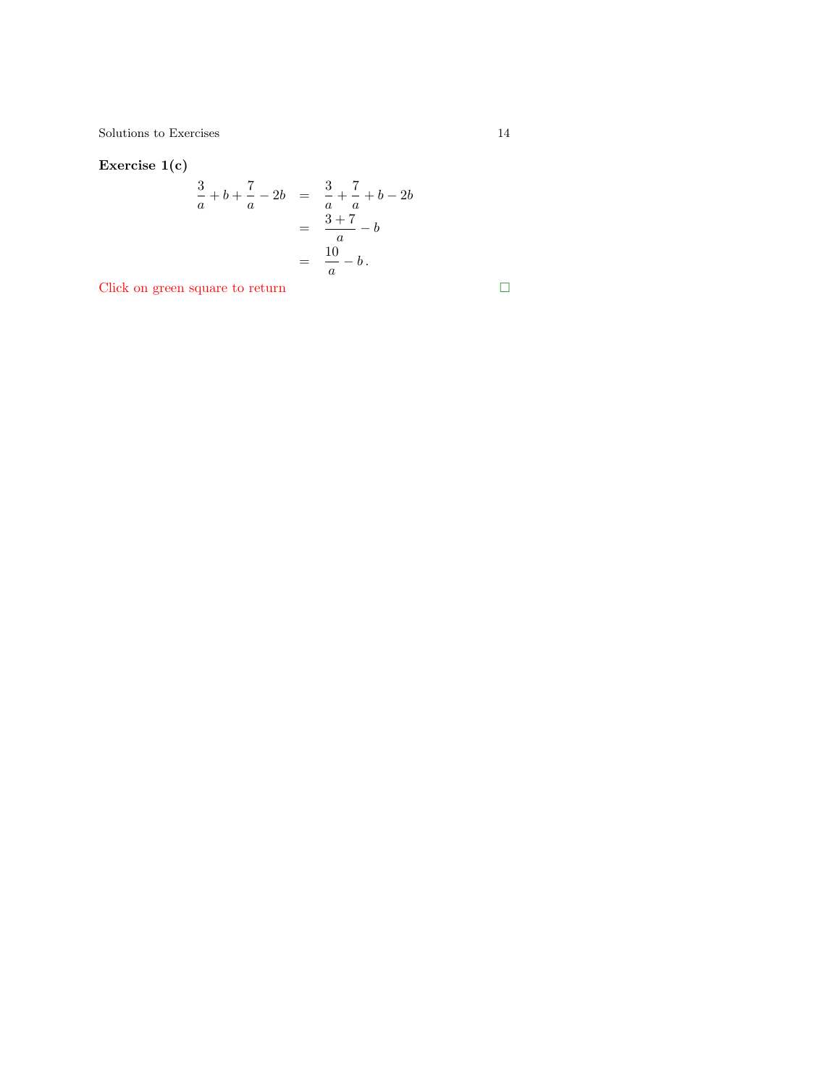### Exercise 1(c)

$$
\frac{3}{a} + b + \frac{7}{a} - 2b = \frac{3}{a} + \frac{7}{a} + b - 2b
$$

$$
= \frac{3+7}{a} - b
$$

$$
= \frac{10}{a} - b.
$$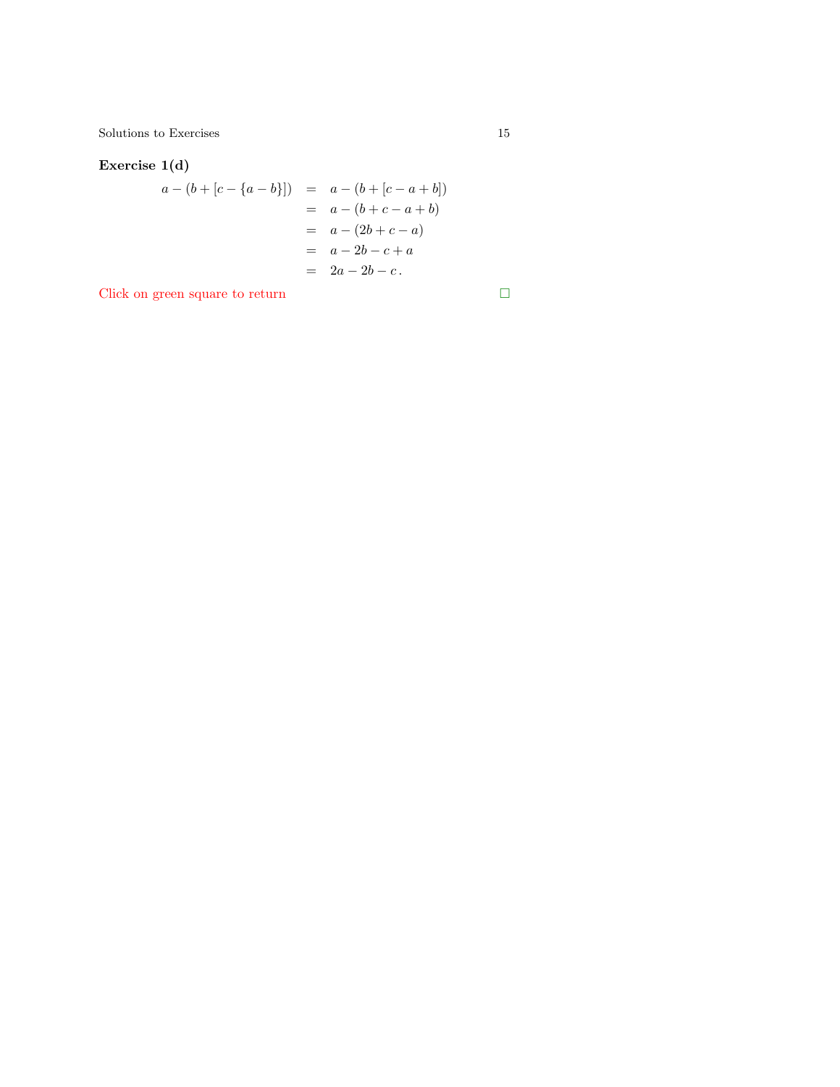$\begin{tabular}{c} Solutions to Exercises \\ \end{tabular} \begin{tabular}{c} \textbf{5} & \textbf{15} \\ \textbf{15} & \textbf{16} \\ \textbf{26} & \textbf{27} \\ \textbf{37} & \textbf{38} \\ \textbf{48} & \textbf{18} \\ \textbf{59} & \textbf{18} \\ \textbf{60} & \textbf{18} \\ \textbf{70} & \textbf{18} \\ \textbf{81} & \textbf{18} \\ \textbf{19} & \textbf{19} \\ \textbf{10} & \textbf{19} \\ \textbf{11} & \textbf{19} \\ \textbf$ 

### Exercise 1(d)

$$
a - (b + [c - \{a - b\}]) = a - (b + [c - a + b])
$$
  
=  $a - (b + c - a + b)$   
=  $a - (2b + c - a)$   
=  $a - 2b - c + a$   
=  $2a - 2b - c$ .

$$
\mathbf{L}^{\mathbf{r}}
$$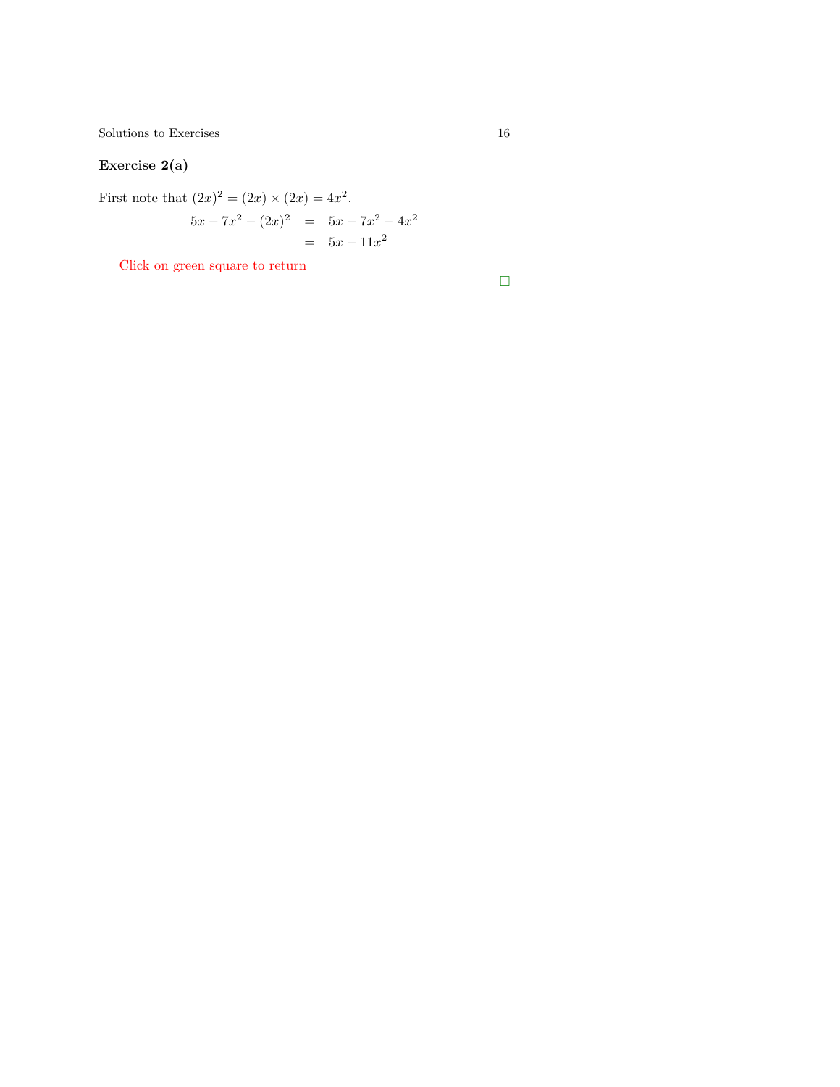$\begin{tabular}{c} Solutions to Exercises \\ \end{tabular} \begin{tabular}{c} \textbf{16} \\ \textbf{27} \\ \textbf{38} \\ \textbf{49} \\ \textbf{50} \\ \textbf{61} \\ \textbf{71} \\ \textbf{82} \\ \textbf{83} \\ \textbf{94} \\ \textbf{101} \\ \textbf{110} \\ \textbf{121} \\ \textbf{132} \\ \textbf{163} \\ \textbf{183} \\ \textbf{195} \\ \textbf{196} \\ \textbf{108} \\ \textbf{109} \\ \textbf{110} \\ \textbf{120} \\ \textbf{13$ 

## Exercise 2(a)

First note that  $(2x)^2 = (2x) \times (2x) = 4x^2$ .  $5x - 7x^2 - (2x)^2 = 5x - 7x^2 - 4x^2$  $= 5x - 11x^2$ 

Click on green square to return

 $\Box$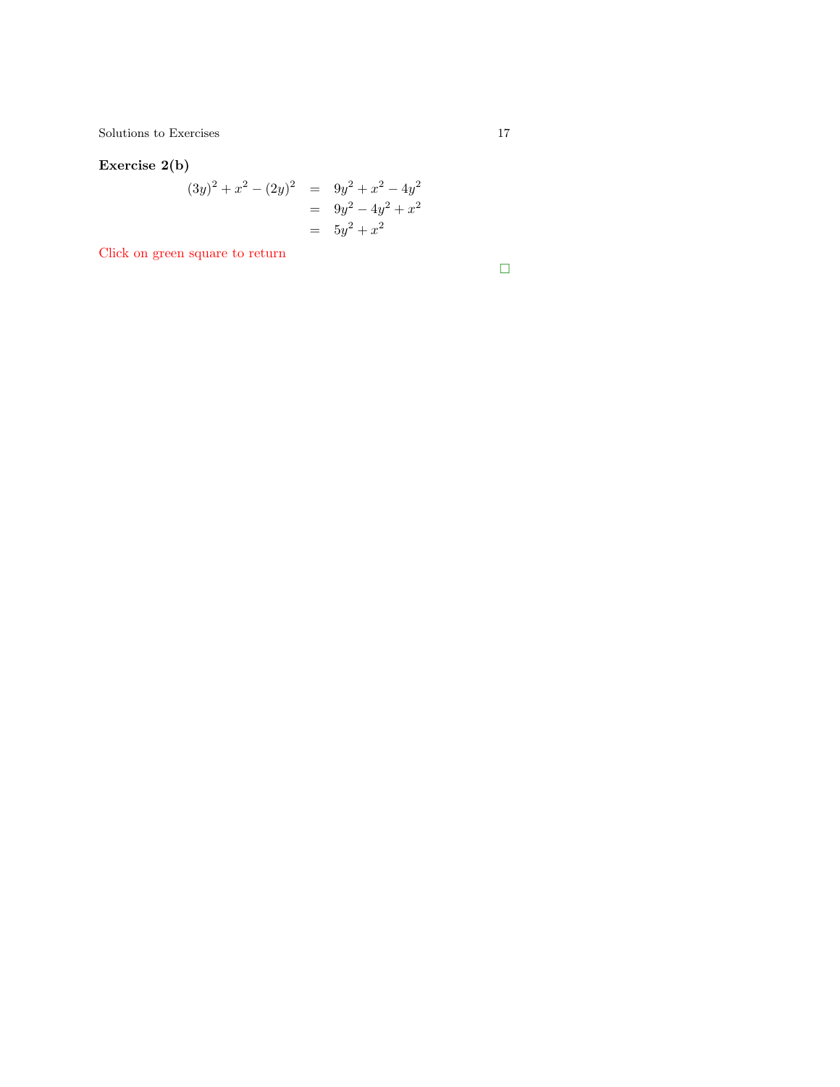<span id="page-16-0"></span> $\begin{tabular}{c} Solutions to Exercises \\ \end{tabular} \begin{tabular}{c} \textbf{17} \\ \textbf{21} \\ \textbf{32} \\ \textbf{43} \\ \textbf{54} \\ \textbf{65} \\ \textbf{76} \\ \textbf{87} \\ \textbf{98} \\ \textbf{108} \\ \textbf{117} \\ \textbf{129} \\ \textbf{130} \\ \textbf{140} \\ \textbf{150} \\ \textbf{160} \\ \textbf{17} \\ \textbf{180} \\ \textbf{190} \\ \textbf{190} \\ \textbf{190} \\ \textbf{100} \\ \textbf{10$ 

## Exercise 2(b)

$$
(3y)2 + x2 - (2y)2 = 9y2 + x2 - 4y2
$$
  
= 9y<sup>2</sup> - 4y<sup>2</sup> + x<sup>2</sup>  
= 5y<sup>2</sup> + x<sup>2</sup>

Click on green square to return

 $\Box$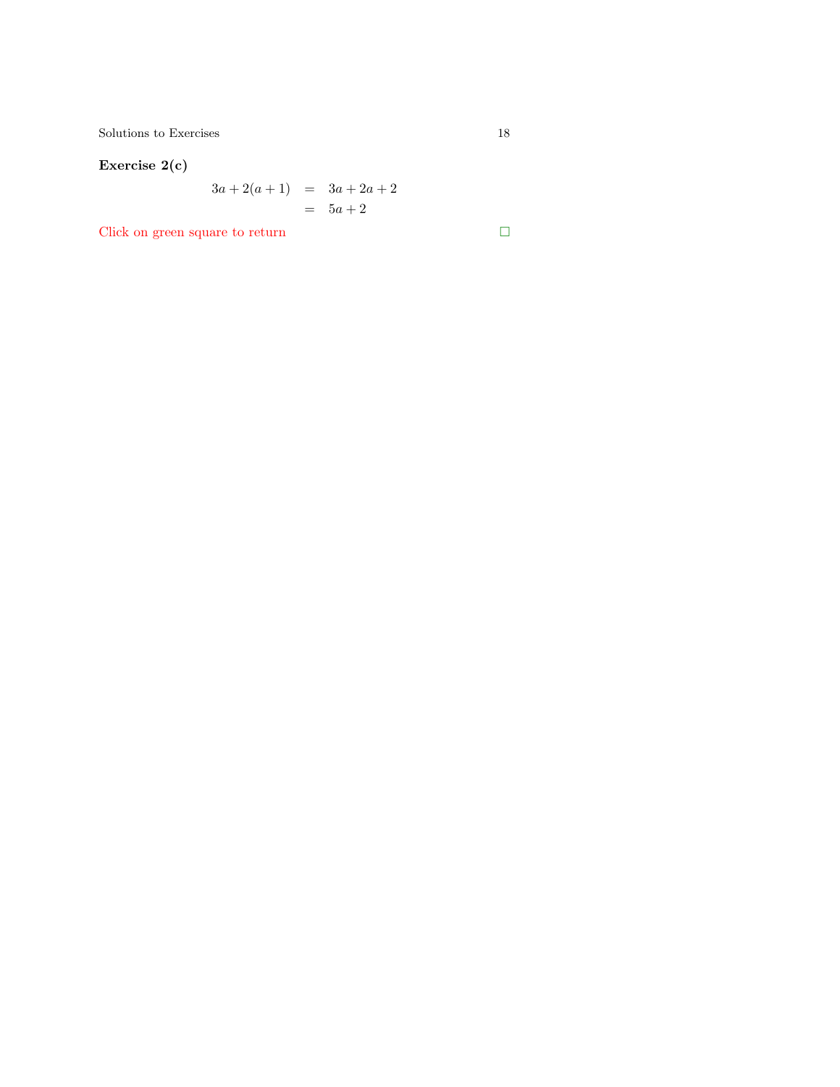## Exercise 2(c)

$$
3a + 2(a + 1) = 3a + 2a + 2
$$
  
= 5a + 2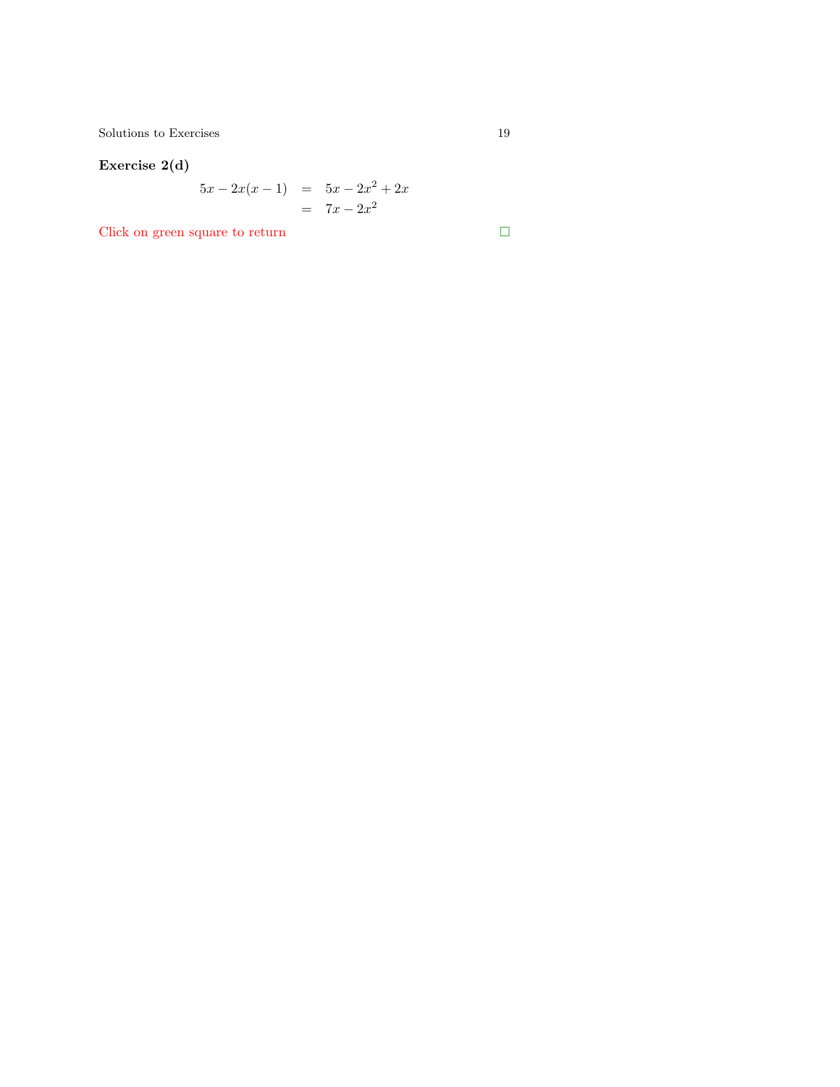<span id="page-18-0"></span> $\begin{tabular}{c} Solutions to Exercises \\ \end{tabular} \begin{tabular}{c} \textbf{5} & \textbf{19} \\ \textbf{19} & \textbf{21} \\ \end{tabular}$ 

### Exercise 2(d)

$$
5x - 2x(x - 1) = 5x - 2x2 + 2x
$$
  
= 7x - 2x<sup>2</sup>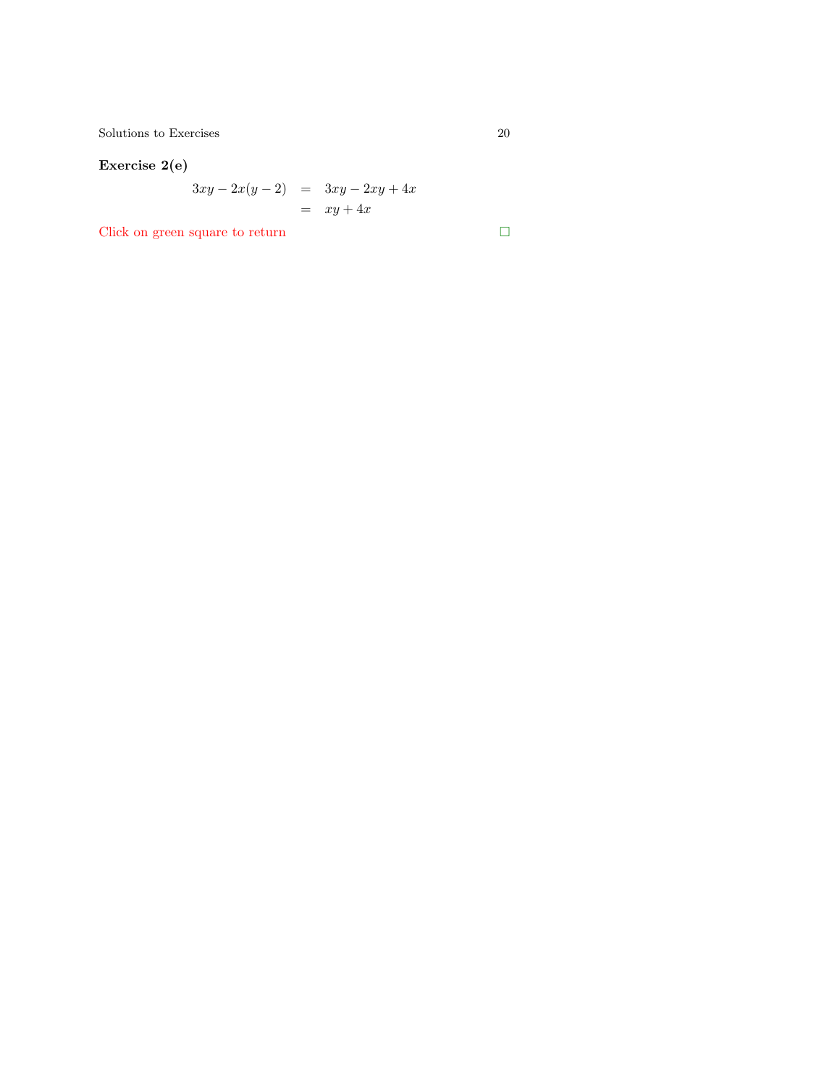$\begin{tabular}{c} Solutions to Exercises \\ \end{tabular} \begin{tabular}{c} \multicolumn{2}{c}{\textbf{\textcolor{blue}{\bf\textcolor{blue}{\bf\textcolor{blue}{\bf\textcolor{blue}{\bf\textcolor{blue}{\bf\textcolor{blue}{\bf\textcolor{blue}{\bf\textcolor{blue}{\bf\textcolor{blue}{\bf\textcolor{blue}{\bf\textcolor{blue}{\bf\textcolor{blue}{\bf\textcolor{blue}{\bf\textcolor{blue}{\bf\textcolor{blue}{\bf\textcolor{blue}{\bf\textcolor{blue}{\bf\textcolor{blue}{\bf\textcolor{blue}{\bf\textcolor{blue}{\bf\textcolor{blue}{\bf\textcolor{blue}{\bf\textcolor{blue}{$ 

## Exercise 2(e)

$$
3xy - 2x(y - 2) = 3xy - 2xy + 4x
$$

$$
= xy + 4x
$$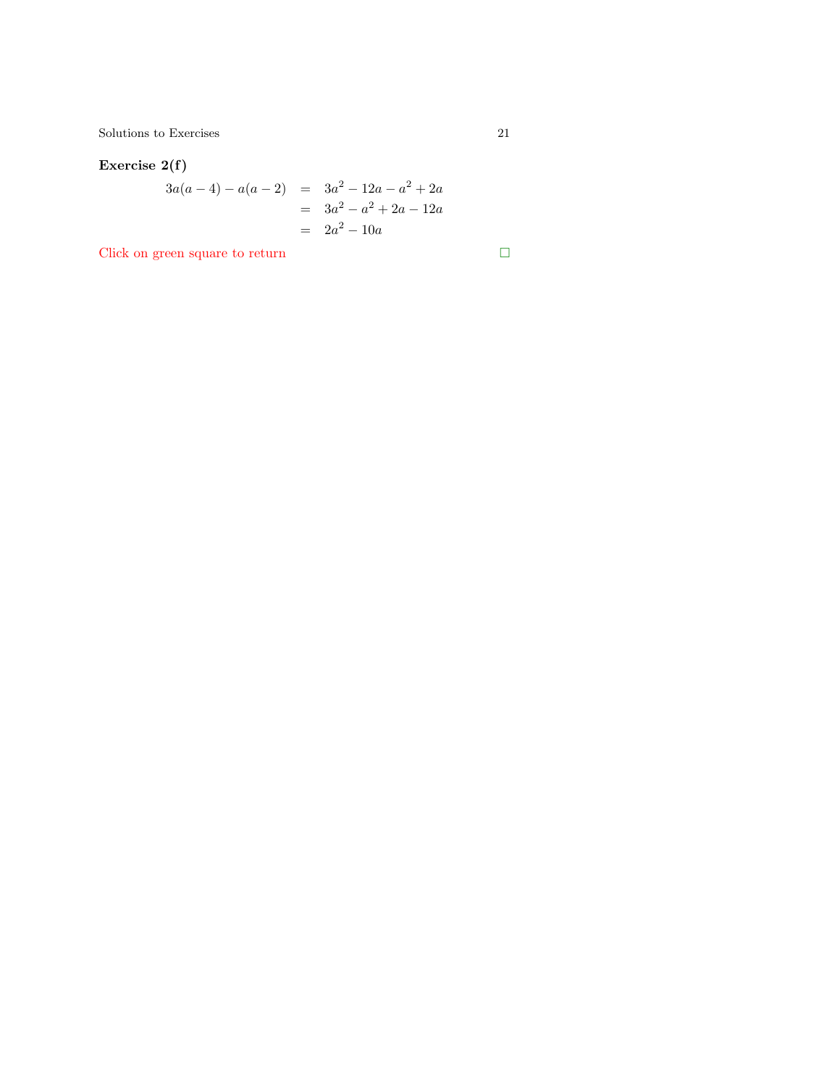## <span id="page-20-0"></span>Exercise 2(f)

$$
3a(a-4) - a(a-2) = 3a2 - 12a - a2 + 2a
$$
  
= 3a<sup>2</sup> - a<sup>2</sup> + 2a - 12a  
= 2a<sup>2</sup> - 10a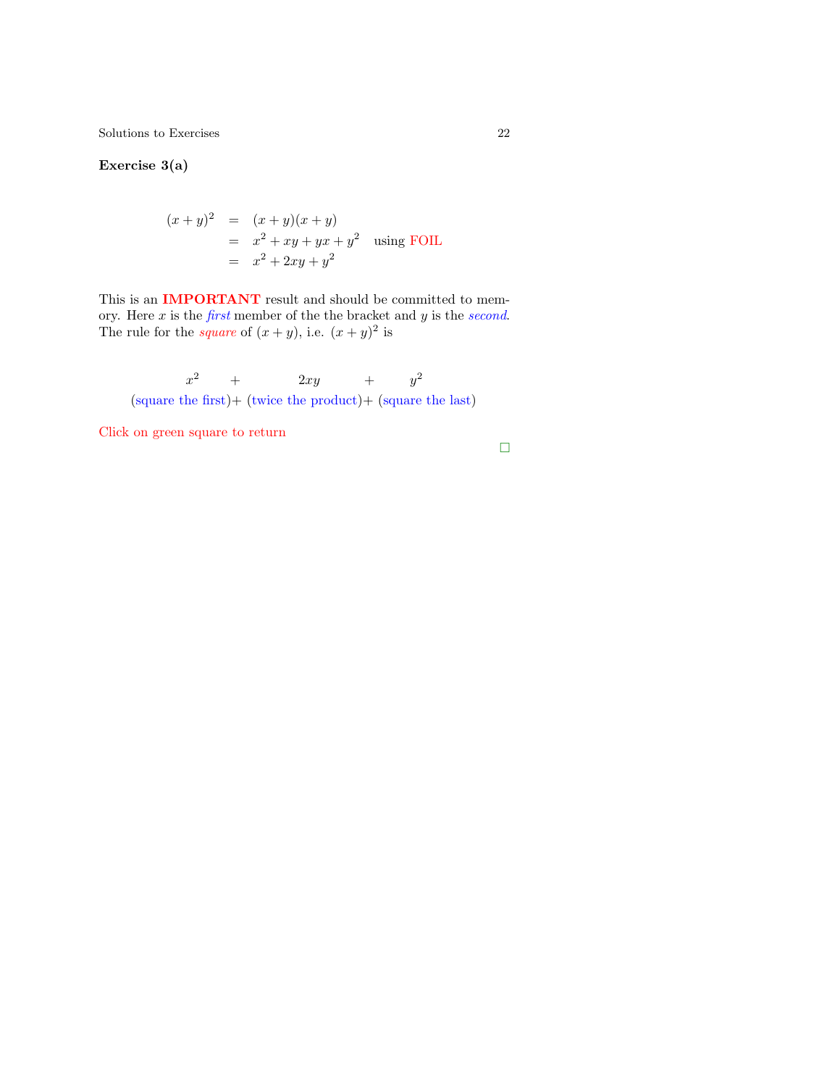Exercise 3(a)

$$
(x+y)^2 = (x+y)(x+y)
$$
  
=  $x^2 + xy + yx + y^2$  using FOIL  
=  $x^2 + 2xy + y^2$ 

This is an **IMPORTANT** result and should be committed to memory. Here  $x$  [is](#page-9-0) the  $first$  member of the the bracket and  $y$  is the *second*. The rule for the *square* of  $(x + y)$ , i.e.  $(x + y)^2$  is

 $\boldsymbol{x}^2$  $+ \qquad \quad \ 2xy \qquad \quad +$  $y^2$ (square the first)+ (twice the product)+ (square the last)

Click on green square to return

 $\Box$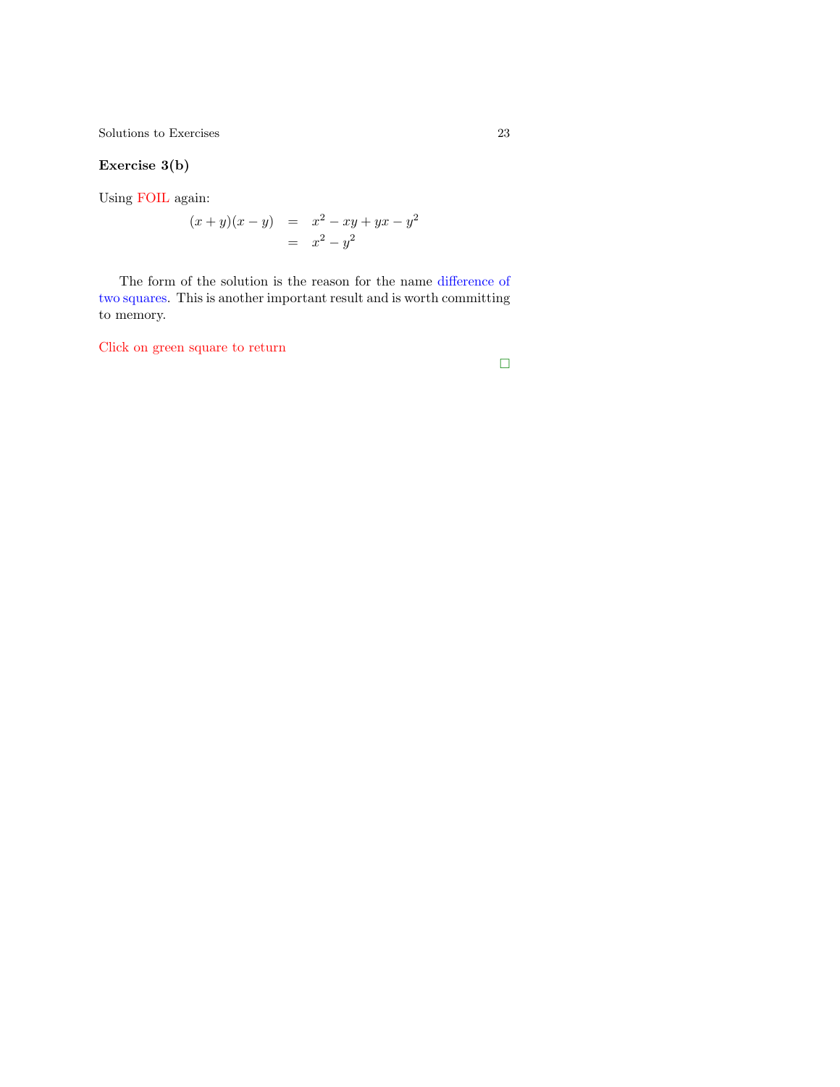### <span id="page-22-0"></span>Exercise 3(b)

Using FOIL again:

$$
(x + y)(x - y) = x2 - xy + yx - y2 = x2 - y2
$$

The form of the solution is the reason for the name difference of two squares. This is another important result and is worth committing to memory.

Click on green square to return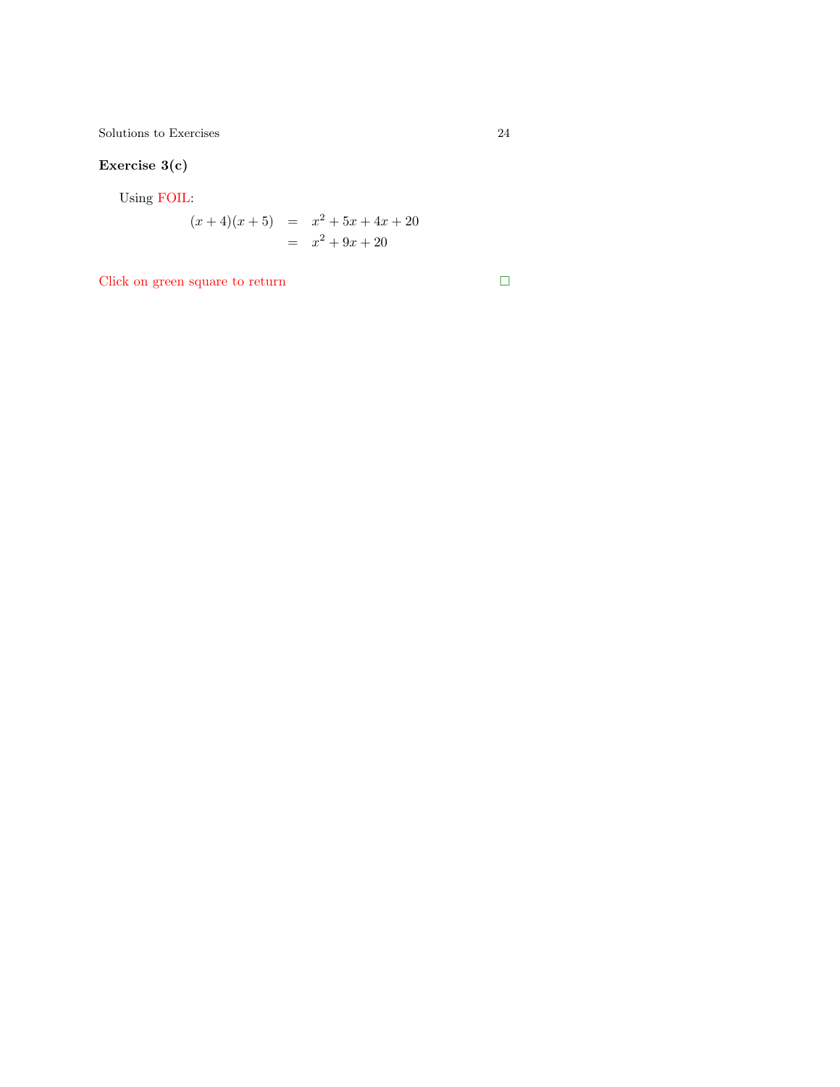## Exercise 3(c)

Using FOIL:

$$
(x+4)(x+5) = x2 + 5x + 4x + 20
$$
  
= x<sup>2</sup> + 9x + 20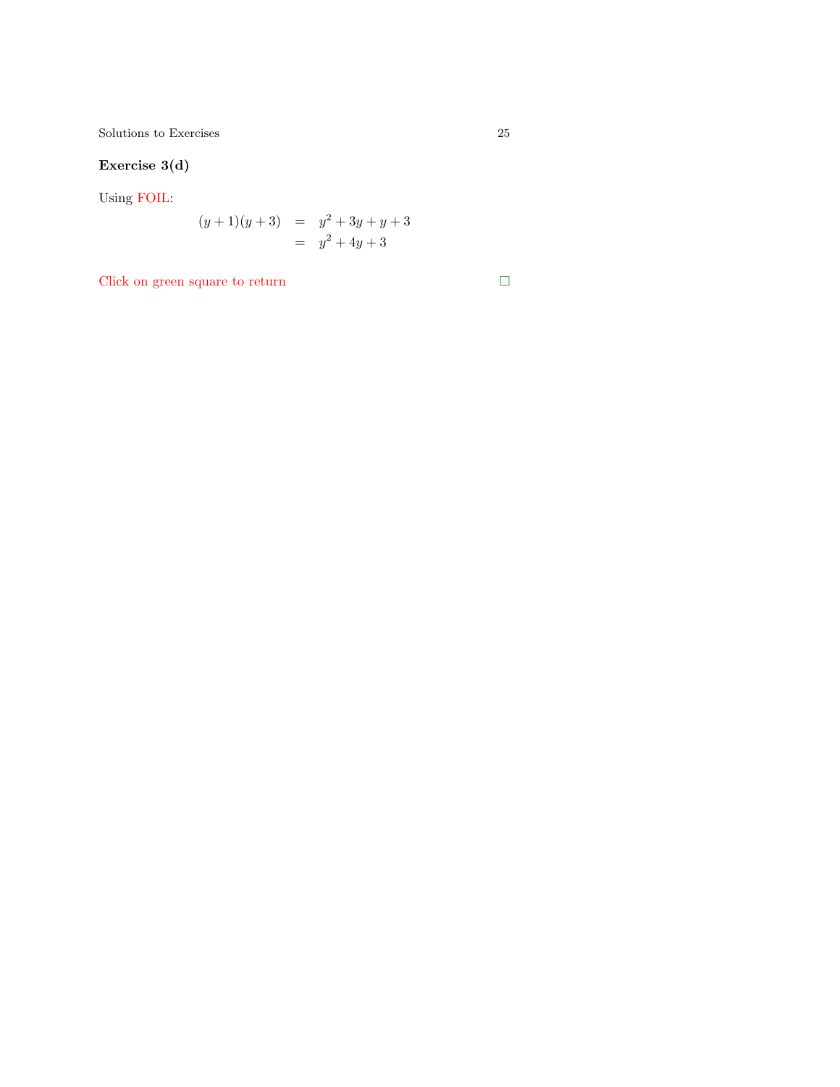<span id="page-24-0"></span> $\begin{tabular}{c} Solutions to Exercises \\ \end{tabular} \begin{tabular}{c} \multicolumn{2}{c}{\textbf{\textcolor{blue}{\bf{Self}}}} \\ \multicolumn{2}{c}{\textbf{\textcolor{blue}{\bf{Self}}}} \\ \multicolumn{2}{c}{\textbf{\textcolor{blue}{\bf{Self}}}} \\ \multicolumn{2}{c}{\textbf{\textcolor{blue}{\bf{Self}}}} \\ \multicolumn{2}{c}{\textbf{\textcolor{blue}{\bf{Self}}}} \\ \multicolumn{2}{c}{\textbf{\textcolor{blue}{\bf{Self}}}} \\ \multicolumn{2}{c}{\textbf{\textcolor{blue}{\bf{Self}}}} \\ \multicolumn{2}{c}{\textbf{\textcolor{blue}{\$ 

## Exercise 3(d)

Using FOIL:

$$
(y+1)(y+3) = y2 + 3y + y + 3
$$
  
= y<sup>2</sup> + 4y + 3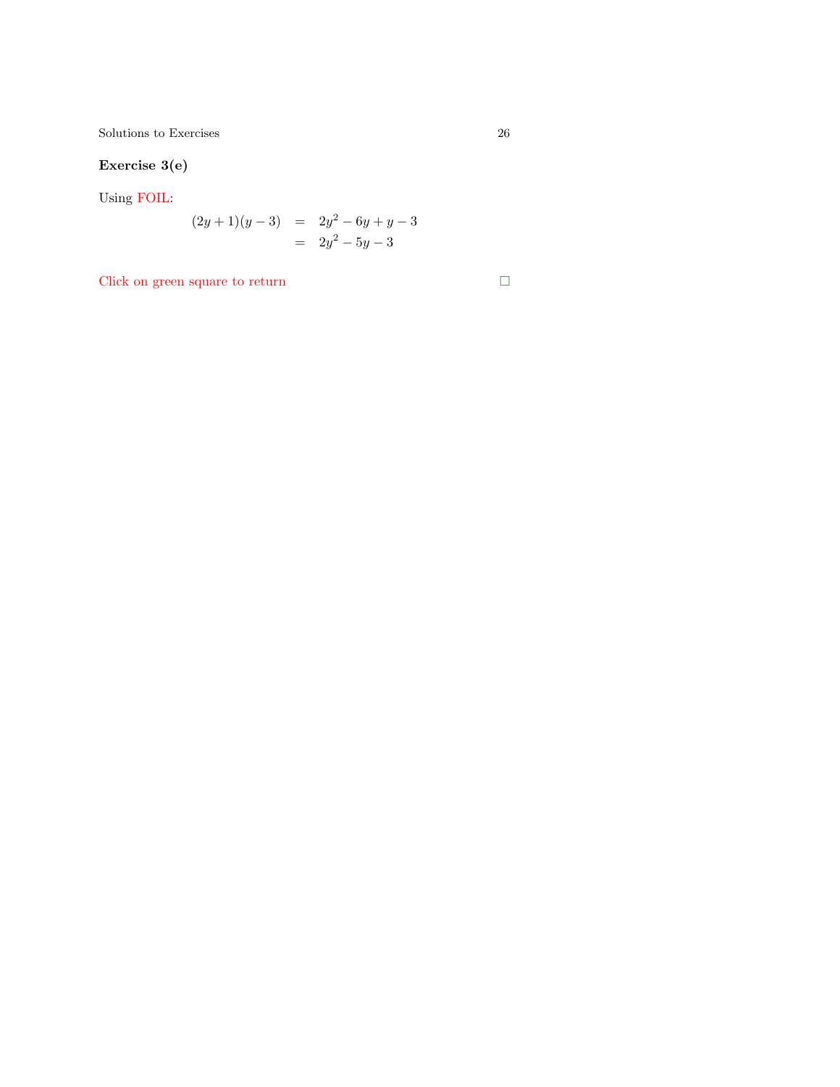## Exercise 3(e)

Using FOIL:

$$
(2y+1)(y-3) = 2y2 - 6y + y - 3= 2y2 - 5y - 3
$$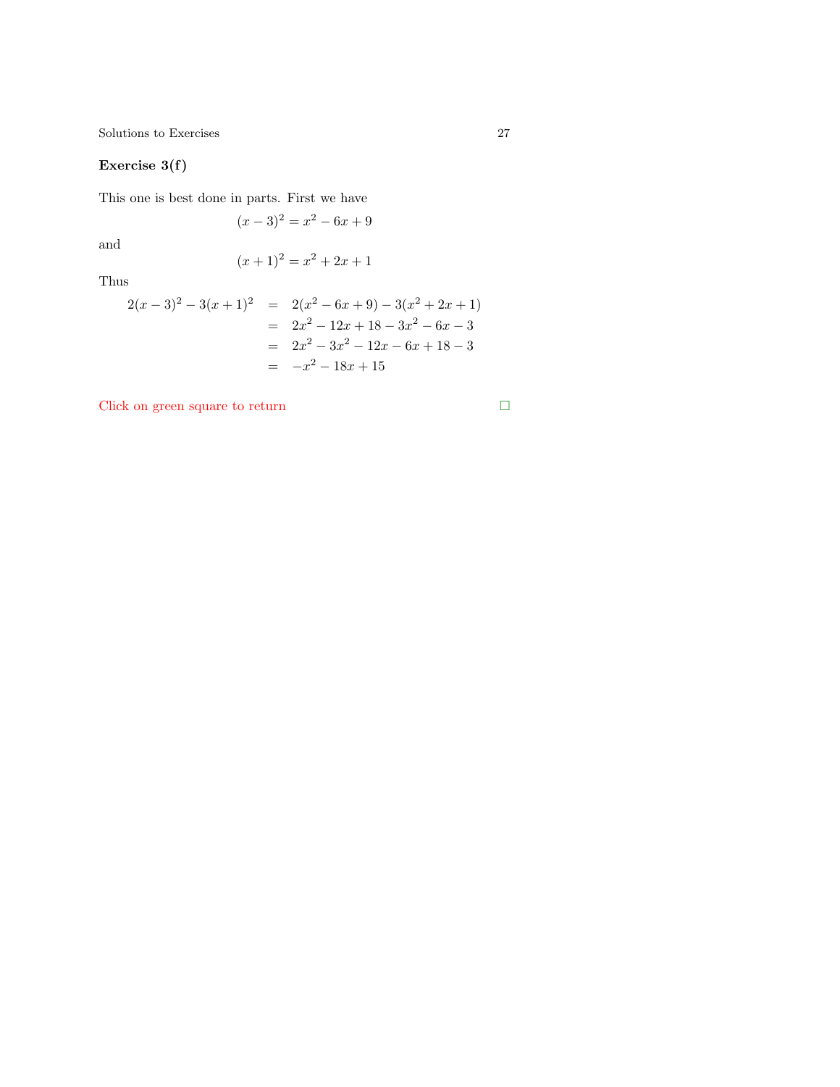### <span id="page-26-0"></span>Exercise 3(f)

This one is best done in parts. First we have

$$
(x-3)^2 = x^2 - 6x + 9
$$

and

$$
(x+1)^2 = x^2 + 2x + 1
$$

Thus

$$
2(x-3)^2 - 3(x+1)^2 = 2(x^2 - 6x + 9) - 3(x^2 + 2x + 1)
$$
  
= 2x<sup>2</sup> - 12x + 18 - 3x<sup>2</sup> - 6x - 3  
= 2x<sup>2</sup> - 3x<sup>2</sup> - 12x - 6x + 18 - 3  
= -x<sup>2</sup> - 18x + 15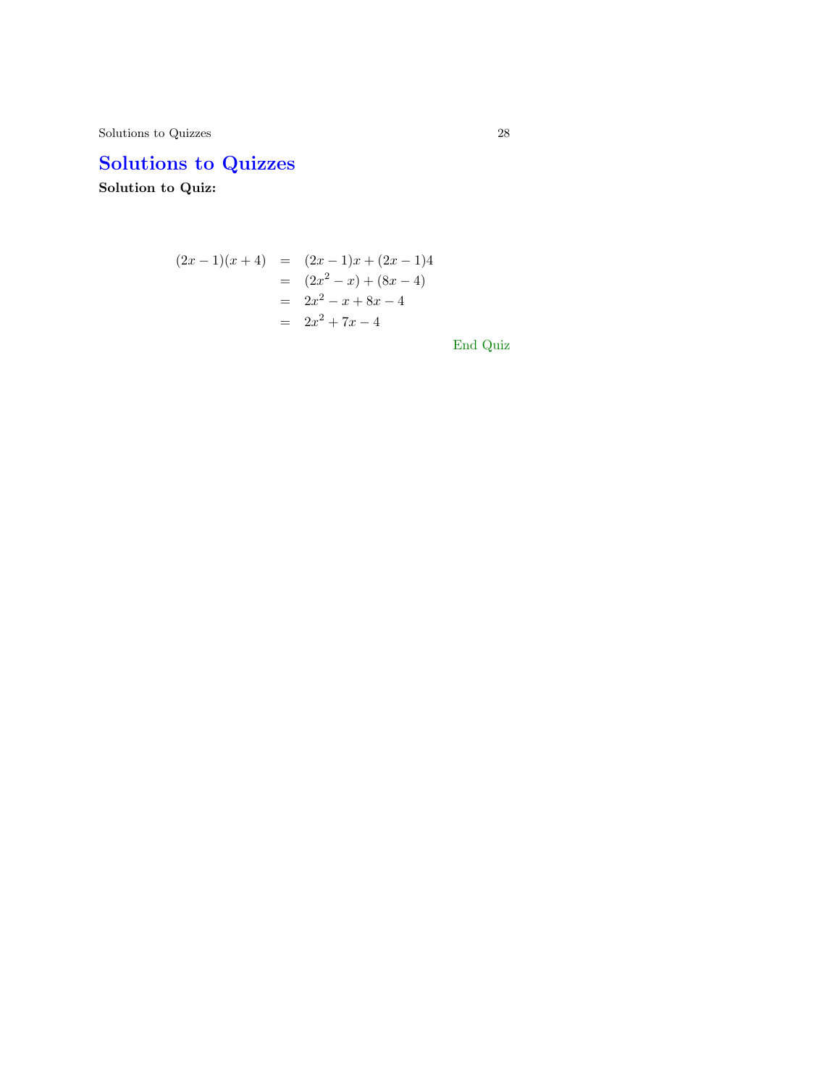Solutions to Quizzes 28

# Solutions to Quizzes

Solution to Quiz:

$$
(2x - 1)(x + 4) = (2x - 1)x + (2x - 1)4
$$
  
=  $(2x^2 - x) + (8x - 4)$   
=  $2x^2 - x + 8x - 4$   
=  $2x^2 + 7x - 4$ 

End Quiz